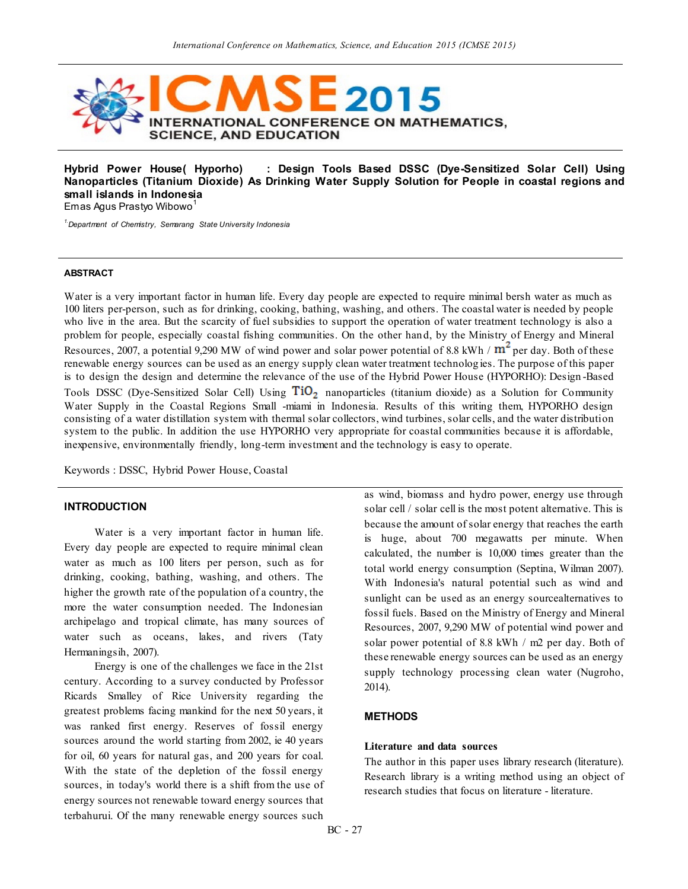

**Hybrid Power House( Hyporho) : Design Tools Based DSSC (Dye-Sensitized Solar Cell) Using Nanoparticles (Titanium Dioxide) As Drinking Water Supply Solution for People in coastal regions and small islands in Indonesia** Emas Agus Prastyo Wibowo<sup>1</sup>

*1.Department of Chemistry, Semarang State University Indonesia*

### **ABSTRACT**

Water is a very important factor in human life. Every day people are expected to require minimal bersh water as much as 100 liters per-person, such as for drinking, cooking, bathing, washing, and others. The coastal water is needed by people who live in the area. But the scarcity of fuel subsidies to support the operation of water treatment technology is also a problem for people, especially coastal fishing communities. On the other hand, by the Ministry of Energy and Mineral Resources, 2007, a potential 9,290 MW of wind power and solar power potential of 8.8 kWh /  $m^2$  per day. Both of these renewable energy sources can be used as an energy supply clean water treatment technolog ies. The purpose of this paper is to design the design and determine the relevance of the use of the Hybrid Power House (HYPORHO): Design -Based Tools DSSC (Dye-Sensitized Solar Cell) Using  $TiO<sub>2</sub>$  nanoparticles (titanium dioxide) as a Solution for Community Water Supply in the Coastal Regions Small -miami in Indonesia. Results of this writing them, HYPORHO design consisting of a water distillation system with thermal solar collectors, wind turbines, solar cells, and the water distribution system to the public. In addition the use HYPORHO very appropriate for coastal communities because it is affordable, inexpensive, environmentally friendly, long-term investment and the technology is easy to operate.

Keywords : DSSC, Hybrid Power House, Coastal

## **INTRODUCTION**

Water is a very important factor in human life. Every day people are expected to require minimal clean water as much as 100 liters per person, such as for drinking, cooking, bathing, washing, and others. The higher the growth rate of the population of a country, the more the water consumption needed. The Indonesian archipelago and tropical climate, has many sources of water such as oceans, lakes, and rivers (Taty Hermaningsih, 2007).

Energy is one of the challenges we face in the 21st century. According to a survey conducted by Professor Ricards Smalley of Rice University regarding the greatest problems facing mankind for the next 50 years, it was ranked first energy. Reserves of fossil energy sources around the world starting from 2002, ie 40 years for oil, 60 years for natural gas, and 200 years for coal. With the state of the depletion of the fossil energy sources, in today's world there is a shift from the use of energy sources not renewable toward energy sources that terbahurui. Of the many renewable energy sources such

as wind, biomass and hydro power, energy use through solar cell / solar cell is the most potent alternative. This is because the amount of solar energy that reaches the earth is huge, about 700 megawatts per minute. When calculated, the number is 10,000 times greater than the total world energy consumption (Septina, Wilman 2007). With Indonesia's natural potential such as wind and sunlight can be used as an energy sourcealternatives to fossil fuels. Based on the Ministry of Energy and Mineral Resources, 2007, 9,290 MW of potential wind power and solar power potential of 8.8 kWh / m2 per day. Both of these renewable energy sources can be used as an energy supply technology processing clean water (Nugroho, 2014).

### **METHODS**

### **Literature and data sources**

The author in this paper uses library research (literature). Research library is a writing method using an object of research studies that focus on literature - literature.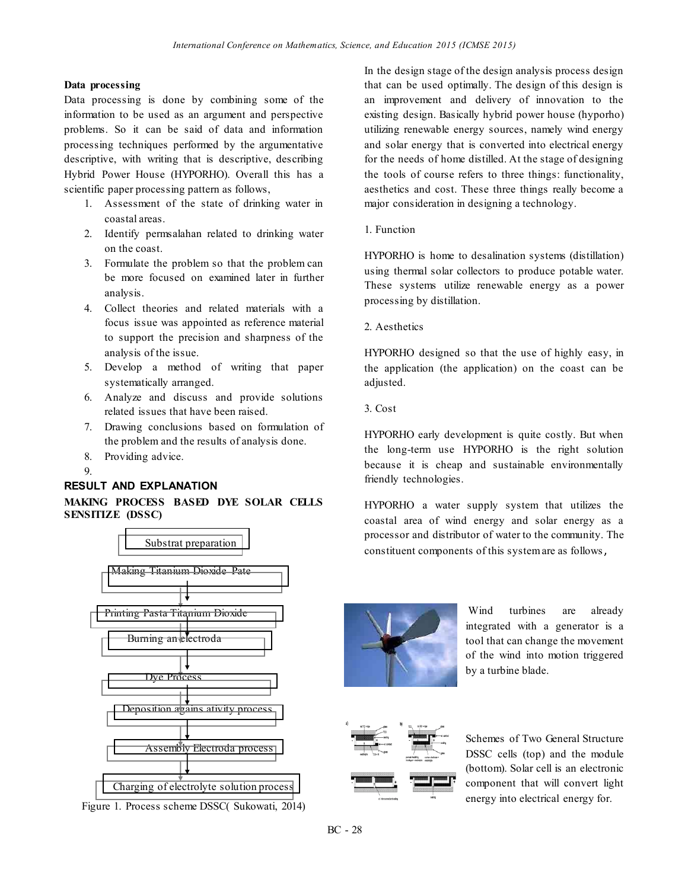## **Data processing**

Data processing is done by combining some of the information to be used as an argument and perspective problems. So it can be said of data and information processing techniques performed by the argumentative descriptive, with writing that is descriptive, describing Hybrid Power House (HYPORHO). Overall this has a scientific paper processing pattern as follows,

- 1. Assessment of the state of drinking water in coastal areas.
- 2. Identify permsalahan related to drinking water on the coast.
- 3. Formulate the problem so that the problem can be more focused on examined later in further analysis.
- 4. Collect theories and related materials with a focus issue was appointed as reference material to support the precision and sharpness of the analysis of the issue.
- 5. Develop a method of writing that paper systematically arranged.
- 6. Analyze and discuss and provide solutions related issues that have been raised.
- 7. Drawing conclusions based on formulation of the problem and the results of analysis done.
- 8. Providing advice.
- 9.

# **RESULT AND EXPLANATION**

# **MAKING PROCESS BASED DYE SOLAR CELLS SENSITIZE (DSSC)**



Figure 1. Process scheme DSSC( Sukowati, 2014)

In the design stage of the design analysis process design that can be used optimally. The design of this design is an improvement and delivery of innovation to the existing design. Basically hybrid power house (hyporho) utilizing renewable energy sources, namely wind energy and solar energy that is converted into electrical energy for the needs of home distilled. At the stage of designing the tools of course refers to three things: functionality, aesthetics and cost. These three things really become a major consideration in designing a technology.

## 1. Function

HYPORHO is home to desalination systems (distillation) using thermal solar collectors to produce potable water. These systems utilize renewable energy as a power processing by distillation.

2. Aesthetics

HYPORHO designed so that the use of highly easy, in the application (the application) on the coast can be adjusted.

3. Cost

HYPORHO early development is quite costly. But when the long-term use HYPORHO is the right solution because it is cheap and sustainable environmentally friendly technologies.

HYPORHO a water supply system that utilizes the coastal area of wind energy and solar energy as a processor and distributor of water to the community. The constituent components of this system are as follows,



Wind turbines are already integrated with a generator is a tool that can change the movement of the wind into motion triggered by a turbine blade.



Schemes of Two General Structure DSSC cells (top) and the module (bottom). Solar cell is an electronic component that will convert light energy into electrical energy for.

BC - 28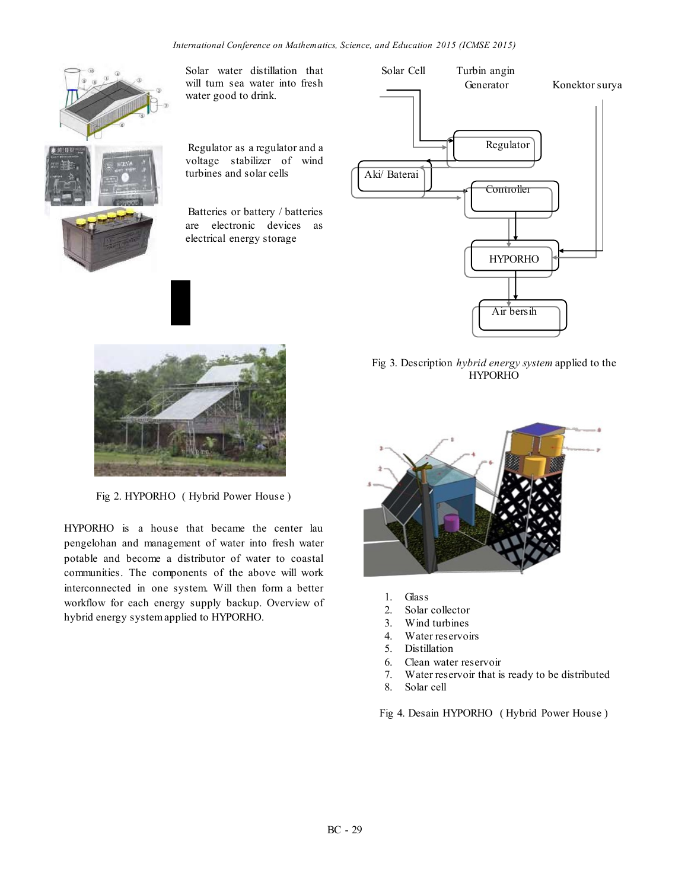

Solar water distillation that will turn sea water into fresh water good to drink.

Regulator as a regulator and a voltage stabilizer of wind turbines and solar cells

Batteries or battery / batteries are electronic devices as electrical energy storage



Fig 2. HYPORHO ( Hybrid Power House )

HYPORHO is a house that became the center lau pengelohan and management of water into fresh water potable and become a distributor of water to coastal communities. The components of the above will work interconnected in one system. Will then form a better workflow for each energy supply backup. Overview of hybrid energy system applied to HYPORHO.



Fig 3. Description *hybrid energy system* applied to the HYPORHO



- 1. Glass
- 2. Solar collector
- 3. Wind turbines
- 4. Water reservoirs
- 5. Distillation
- 6. Clean water reservoir
- 7. Water reservoir that is ready to be distributed
- 8. Solar cell

Fig 4. Desain HYPORHO ( Hybrid Power House )